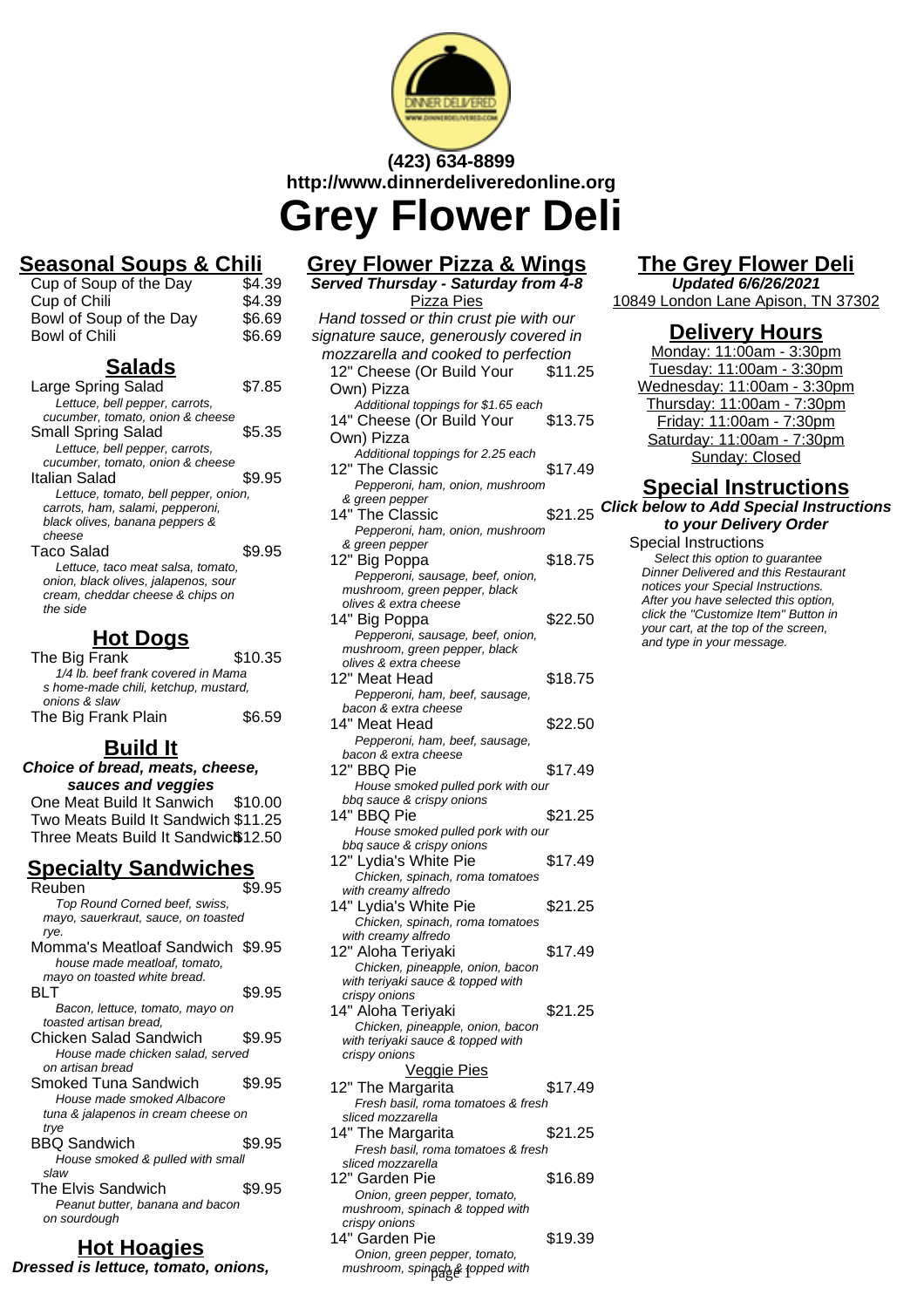

# **(423) 634-8899 http://www.dinnerdeliveredonline.org Grey Flower Deli**

### **Seasonal Soups & Chili**

| Cup of Soup of the Day  | \$4.39 |
|-------------------------|--------|
| Cup of Chili            | \$4.39 |
| Bowl of Soup of the Day | \$6.69 |
| Bowl of Chili           | \$6.69 |

#### **Salads**

| Large Spring Salad                   | S7.85  |
|--------------------------------------|--------|
| Lettuce, bell pepper, carrots,       |        |
| cucumber, tomato, onion & cheese     |        |
| Small Spring Salad                   | \$5.35 |
| Lettuce, bell pepper, carrots,       |        |
| cucumber, tomato, onion & cheese     |        |
| Italian Salad                        | \$9.95 |
| Lettuce, tomato, bell pepper, onion, |        |
| carrots, ham, salami, pepperoni,     |        |
| black olives, banana peppers &       |        |
| cheese                               |        |
| <b>Taco Salad</b>                    | \$9.95 |
| Lettuce, taco meat salsa, tomato,    |        |
| onion, black olives, jalapenos, sour |        |
| cream, cheddar cheese & chips on     |        |
| the side                             |        |
|                                      |        |

### **Hot Dogs**

| The Big Frank                        | \$10.35 |
|--------------------------------------|---------|
| 1/4 lb. beef frank covered in Mama   |         |
| s home-made chili, ketchup, mustard, |         |
| onions & slaw                        |         |
| The Big Frank Plain                  | \$6.59  |

# **Build It**

**Choice of bread, meats, cheese, sauces and veggies** One Meat Build It Sanwich \$10.00 Two Meats Build It Sandwich \$11.25 Three Meats Build It Sandwic<sup>\$</sup>12.50

#### **Specialty Sandwiches**

| Reuben                              | \$9.95 |
|-------------------------------------|--------|
| Top Round Corned beef, swiss,       |        |
| mayo, sauerkraut, sauce, on toasted |        |
| rye.                                |        |
| Momma's Meatloaf Sandwich \$9.95    |        |
| house made meatloaf, tomato,        |        |
| mayo on toasted white bread.        |        |
| BI T                                | \$9.95 |
| Bacon, lettuce, tomato, mayo on     |        |
| toasted artisan bread.              |        |
| Chicken Salad Sandwich              | \$9.95 |
| House made chicken salad, served    |        |
| on artisan bread                    |        |
| Smoked Tuna Sandwich                | \$9.95 |
| House made smoked Albacore          |        |
| tuna & jalapenos in cream cheese on |        |
| trye                                |        |
| BBQ Sandwich                        | \$9.95 |
| House smoked & pulled with small    |        |
| slaw                                |        |
| <b>The Elvis Sandwich</b>           | \$9.95 |
| Peanut butter, banana and bacon     |        |
| on sourdough                        |        |

#### **Hot Hoagies Dressed is lettuce, tomato, onions,**

### **Grey Flower Pizza & Wings**

**Served Thursday - Saturday from 4-8** Pizza Pies Hand tossed or thin crust pie with our signature sauce, generously covered in mozzarella and cooked to perfection 12" Cheese (Or Build Your Own) Pizza \$11.25 Additional toppings for \$1.65 each 14" Cheese (Or Build Your Own) Pizza \$13.75 Additional toppings for 2.25 each 12" The Classic \$17.49 Pepperoni, ham, onion, mushroom & green pepper 14" The Classic  $$21.25$ Pepperoni, ham, onion, mushroom & green pepper 12" Big Poppa \$18.75 Pepperoni, sausage, beef, onion, mushroom, green pepper, black olives & extra cheese 14" Big Poppa \$22.50 Pepperoni, sausage, beef, onion, mushroom, green pepper, black olives & extra cheese 12" Meat Head \$18.75 Pepperoni, ham, beef, sausage, bacon & extra cheese 14" Meat Head \$22.50 Pepperoni, ham, beef, sausage, bacon & extra cheese 12" BBQ Pie \$17.49 House smoked pulled pork with our bbq sauce & crispy onions 14" BBQ Pie  $$21.25$ House smoked pulled pork with our bbq sauce & crispy onions 12" Lydia's White Pie \$17.49 Chicken, spinach, roma tomatoes with creamy alfredo 14" Lydia's White Pie \$21.25 Chicken, spinach, roma tomatoes with creamy alfredo 12" Aloha Teriyaki  $$17.49$ Chicken, pineapple, onion, bacon with teriyaki sauce & topped with crispy onions 14" Aloha Teriyaki  $$21.25$ Chicken, pineapple, onion, bacon

with teriyaki sauce & topped with

Veggie Pies 12" The Margarita  $$17.49$ Fresh basil, roma tomatoes & fresh

14" The Margarita  $$21.25$ Fresh basil, roma tomatoes & fresh

12" Garden Pie **\$16.89** Onion, green pepper, tomato, mushroom, spinach & topped with

14" Garden Pie **\$19.39** 

Onion, green pepper, tomato, mushroom, spinagh& fopped with

crispy onions

sliced mozzarella

sliced mozzarella

crispy onions

# **The Grey Flower Deli**

**Updated 6/6/26/2021** 10849 London Lane Apison, TN 37302

#### **Delivery Hours**

Monday: 11:00am - 3:30pm Tuesday: 11:00am - 3:30pm Wednesday: 11:00am - 3:30pm Thursday: 11:00am - 7:30pm Friday: 11:00am - 7:30pm Saturday: 11:00am - 7:30pm Sunday: Closed

# **Special Instructions**

**Click below to Add Special Instructions to your Delivery Order**

Special Instructions Select this option to quarantee Dinner Delivered and this Restaurant notices your Special Instructions. After you have selected this option, click the "Customize Item" Button in your cart, at the top of the screen, and type in your message.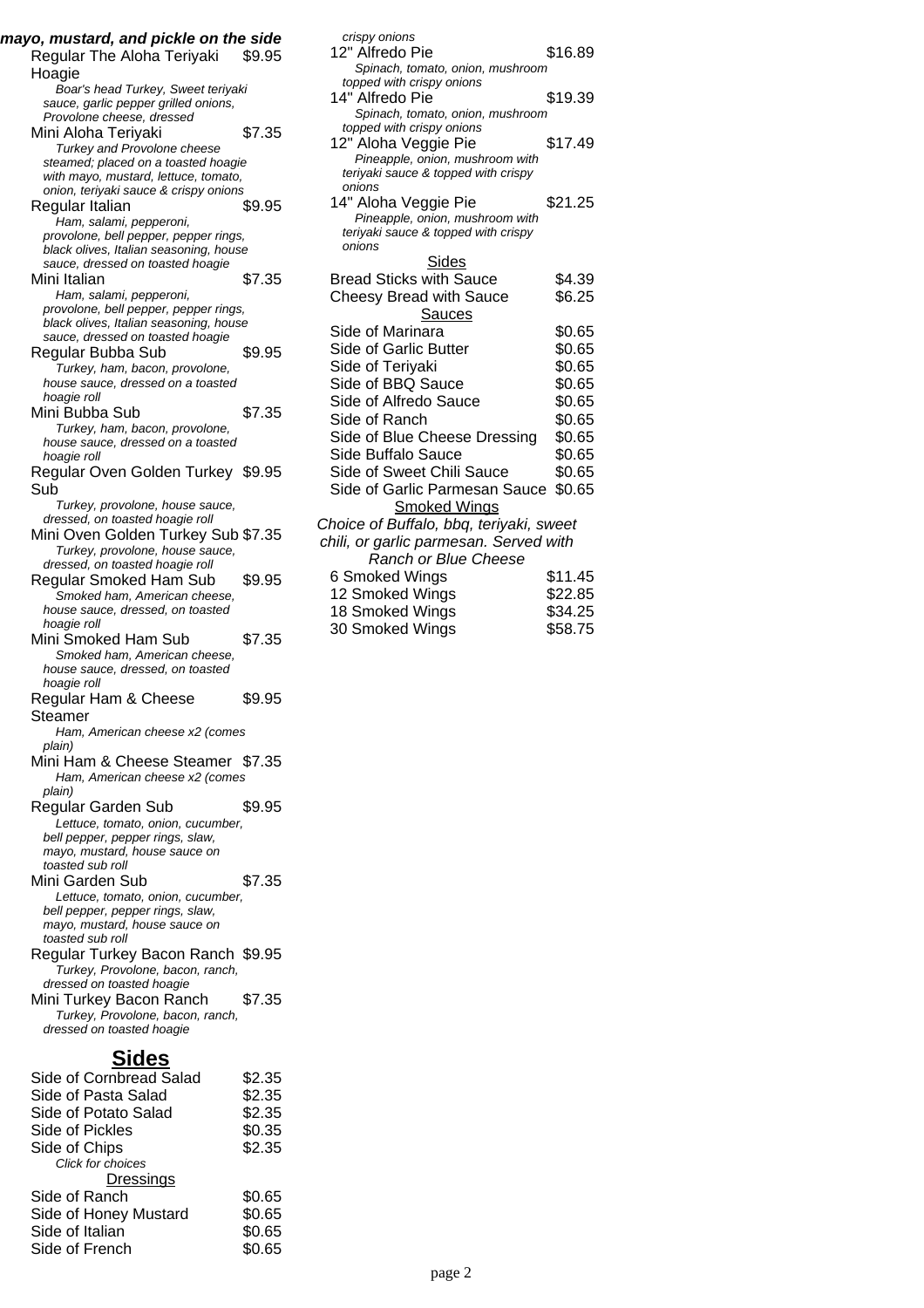| mayo, mustard, and pickle on the side<br>Regular The Aloha Teriyaki                                                                              | \$9.95                     |
|--------------------------------------------------------------------------------------------------------------------------------------------------|----------------------------|
| Hoagie<br>Boar's head Turkey, Sweet teriyaki<br>sauce, garlic pepper grilled onions,                                                             |                            |
| Provolone cheese, dressed<br>Mini Aloha Teriyaki<br>Turkey and Provolone cheese                                                                  | \$7.35                     |
| steamed; placed on a toasted hoagie<br>with mayo, mustard, lettuce, tomato,<br>onion, teriyaki sauce & crispy onions                             |                            |
| Regular Italian<br>Ham, salami, pepperoni,<br>provolone, bell pepper, pepper rings,                                                              | \$9.95                     |
| black olives, Italian seasoning, house<br>sauce, dressed on toasted hoagie                                                                       |                            |
| Mini Italian<br>Ham, salami, pepperoni,<br>provolone, bell pepper, pepper rings,<br>black olives, Italian seasoning, house                       | \$7.35                     |
| sauce, dressed on toasted hoagie<br>Regular Bubba Sub                                                                                            | \$9.95                     |
| Turkey, ham, bacon, provolone,<br>house sauce, dressed on a toasted<br>hoagie roll                                                               |                            |
| Mini Bubba Sub<br>Turkey, ham, bacon, provolone,<br>house sauce, dressed on a toasted<br>hoagie roll                                             | \$7.35                     |
| Regular Oven Golden Turkey \$9.95<br>Sub                                                                                                         |                            |
| Turkey, provolone, house sauce,<br>dressed, on toasted hoagie roll<br>Mini Oven Golden Turkey Sub \$7.35<br>Turkey, provolone, house sauce,      |                            |
| dressed, on toasted hoagie roll<br>Regular Smoked Ham Sub<br>Smoked ham, American cheese,<br>house sauce, dressed, on toasted                    | \$9.95                     |
| hoagie roll<br>Mini Smoked Ham Sub<br>Smoked ham, American cheese,<br>house sauce, dressed, on toasted                                           | \$7.35                     |
| hoagie roll<br>Regular Ham & Cheese<br>Steamer                                                                                                   | \$9.95                     |
| Ham, American cheese x2 (comes<br>plain)                                                                                                         |                            |
| Mini Ham & Cheese Steamer \$7.35<br>Ham, American cheese x2 (comes<br>plain)                                                                     |                            |
| Regular Garden Sub<br>Lettuce, tomato, onion, cucumber,<br>bell pepper, pepper rings, slaw,<br>mayo, mustard, house sauce on<br>toasted sub roll | \$9.95                     |
| Mini Garden Sub<br>Lettuce, tomato, onion, cucumber,<br>bell pepper, pepper rings, slaw,<br>mayo, mustard, house sauce on                        | \$7.35                     |
| toasted sub roll<br>Regular Turkey Bacon Ranch \$9.95<br>Turkey, Provolone, bacon, ranch,<br>dressed on toasted hoagie                           |                            |
| Mini Turkey Bacon Ranch<br>Turkey, Provolone, bacon, ranch,<br>dressed on toasted hoagie                                                         | \$7.35                     |
| <b>Sides</b>                                                                                                                                     |                            |
| Side of Cornbread Salad<br>Side of Pasta Salad<br>Side of Potato Salad                                                                           | \$2.35<br>\$2.35<br>\$2.35 |
| Side of Pickles                                                                                                                                  | \$0.35                     |
| Side of Chips                                                                                                                                    | \$2.35                     |

Click for choices

**Dressings** Side of Ranch \$0.65 Side of Honey Mustard \$0.65 Side of Italian \$0.65 Side of French \$0.65

| crispy onions                                 |         |
|-----------------------------------------------|---------|
| 12" Alfredo Pie                               | \$16.89 |
| Spinach, tomato, onion, mushroom              |         |
| topped with crispy onions                     |         |
| 14" Alfredo Pie                               | \$19.39 |
| Spinach, tomato, onion, mushroom              |         |
| topped with crispy onions                     |         |
| 12" Aloha Veggie Pie                          | \$17.49 |
| Pineapple, onion, mushroom with               |         |
| teriyaki sauce & topped with crispy           |         |
| onions                                        |         |
| 14" Aloha Veggie Pie                          | \$21.25 |
| Pineapple, onion, mushroom with               |         |
| teriyaki sauce & topped with crispy<br>onions |         |
| Sides                                         |         |
| <b>Bread Sticks with Sauce</b>                | \$4.39  |
| <b>Cheesy Bread with Sauce</b>                | \$6.25  |
|                                               |         |
| Sauces                                        |         |
| Side of Marinara                              | \$0.65  |
| Side of Garlic Butter                         | \$0.65  |
| Side of Teriyaki                              | \$0.65  |
| Side of BBQ Sauce                             | \$0.65  |
| Side of Alfredo Sauce                         | \$0.65  |
| Side of Ranch                                 | \$0.65  |
| Side of Blue Cheese Dressing                  | \$0.65  |
| Side Buffalo Sauce                            | \$0.65  |
| Side of Sweet Chili Sauce                     | \$0.65  |
| Side of Garlic Parmesan Sauce                 | \$0.65  |
| <u>Smoked Wings</u>                           |         |
| Choice of Buffalo, bbq, teriyaki, sweet       |         |
| chili, or garlic parmesan. Served with        |         |
| <b>Ranch or Blue Cheese</b>                   |         |
| 6 Smoked Wings                                | \$11.45 |
| 12 Smoked Wings                               | \$22.85 |
| 18 Smoked Wings                               | \$34.25 |
|                                               |         |
| 30 Smoked Wings                               | \$58.75 |